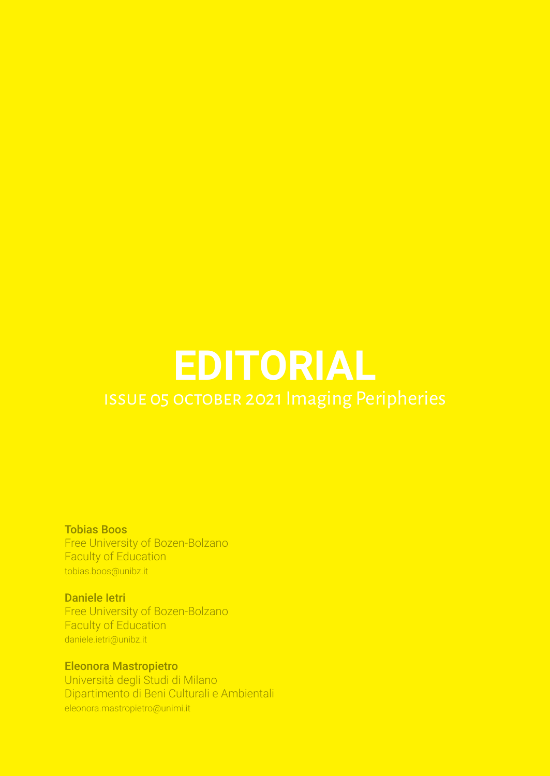# **EDITORIAL**

Tobias Boos Free University of Bozen-Bolzano Faculty of Education tobias.boos@unibz.it

Daniele Ietri Free University of Bozen-Bolzano Faculty of Education daniele.ietri@unibz.it

Eleonora Mastropietro Università degli Studi di Milano Dipartimento di Beni Culturali e Ambientali eleonora.mastropietro@unimi.it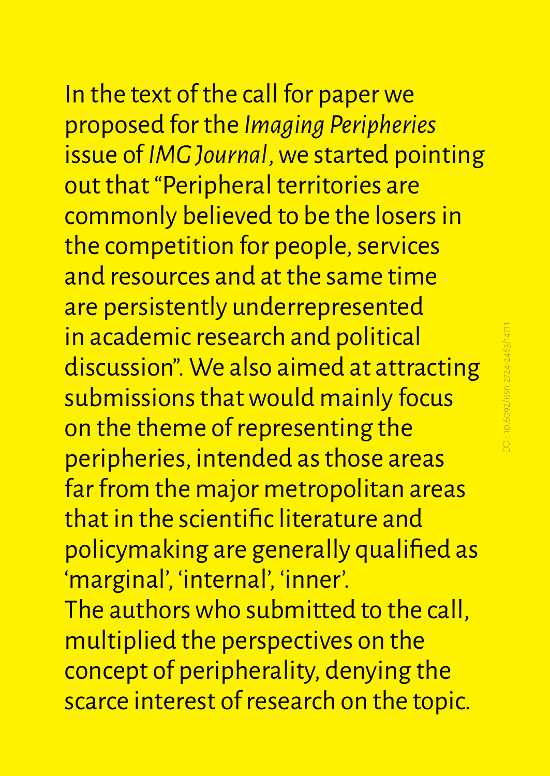In the text of the call for paper we proposed for the *Imaging Peripheries* issue of *IMG Journal*, we started pointing out that "Peripheral territories are commonly believed to be the losers in the competition for people, services and resources and at the same time are persistently underrepresented in academic research and political discussion". We also aimed at attracting submissions that would mainly focus on the theme of representing the peripheries, intended as those areas far from the major metropolitan areas that in the scientific literature and policymaking are generally qualified as 'marginal', 'internal', 'inner'. The authors who submitted to the call, multiplied the perspectives on the concept of peripherality, denying the scarce interest of research on the topic.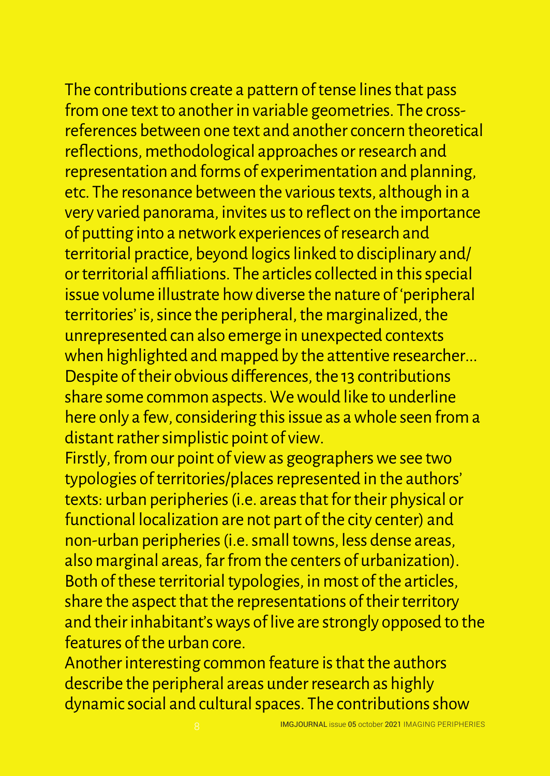The contributions create a pattern of tense lines that pass from one text to another in variable geometries. The crossreferences between one text and another concern theoretical reflections, methodological approaches or research and representation and forms of experimentation and planning, etc. The resonance between the various texts, although in a very varied panorama, invites us to reflect on the importance of putting into a network experiences of research and territorial practice, beyond logics linked to disciplinary and/ or territorial affiliations. The articles collected in this special issue volume illustrate how diverse the nature of 'peripheral territories' is, since the peripheral, the marginalized, the unrepresented can also emerge in unexpected contexts when highlighted and mapped by the attentive researcher... Despite of their obvious differences, the 13 contributions share some common aspects. We would like to underline here only a few, considering this issue as a whole seen from a distant rather simplistic point of view.

Firstly, from our point of view as geographers we see two typologies of territories/places represented in the authors' texts: urban peripheries (i.e. areas that for their physical or functional localization are not part of the city center) and non-urban peripheries (i.e. small towns, less dense areas, also marginal areas, far from the centers of urbanization). Both of these territorial typologies, in most of the articles, share the aspect that the representations of their territory and their inhabitant's ways of live are strongly opposed to the features of the urban core.

Another interesting common feature is that the authors describe the peripheral areas under research as highly dynamic social and cultural spaces. The contributions show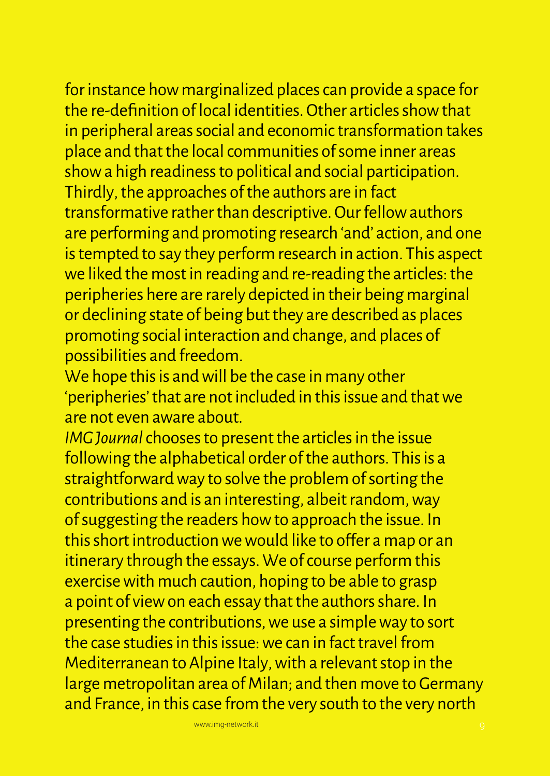for instance how marginalized places can provide a space for the re-definition of local identities. Other articles show that in peripheral areas social and economic transformation takes place and that the local communities of some inner areas show a high readiness to political and social participation. Thirdly, the approaches of the authors are in fact transformative rather than descriptive. Our fellow authors are performing and promoting research 'and' action, and one is tempted to say they perform research in action. This aspect we liked the most in reading and re-reading the articles: the peripheries here are rarely depicted in their being marginal or declining state of being but they are described as places promoting social interaction and change, and places of possibilities and freedom.

We hope this is and will be the case in many other 'peripheries' that are not included in this issue and that we are not even aware about.

*IMG Journal* chooses to present the articles in the issue following the alphabetical order of the authors. This is a straightforward way to solve the problem of sorting the contributions and is an interesting, albeit random, way of suggesting the readers how to approach the issue. In this short introduction we would like to offer a map or an itinerary through the essays. We of course perform this exercise with much caution, hoping to be able to grasp a point of view on each essay that the authors share. In presenting the contributions, we use a simple way to sort the case studies in this issue: we can in fact travel from Mediterranean to Alpine Italy, with a relevant stop in the large metropolitan area of Milan; and then move to Germany and France, in this case from the very south to the very north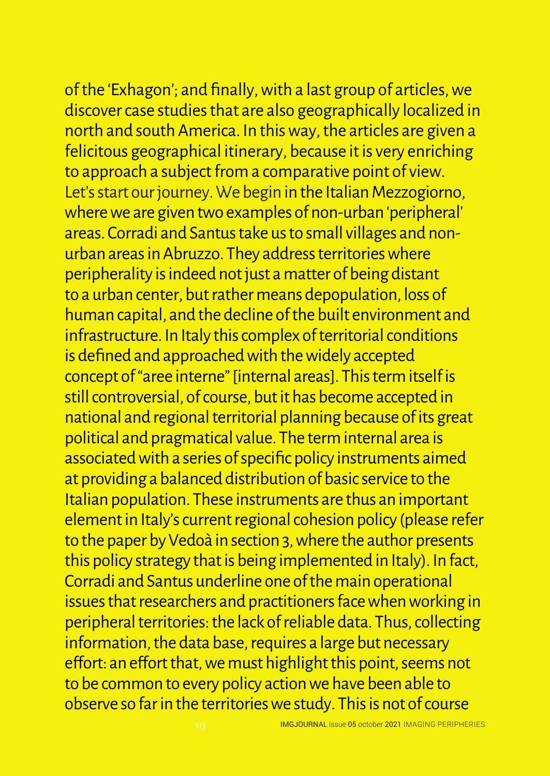of the 'Exhagon'; and finally, with a last group of articles, we discover case studies that are also geographically localized in north and south America. In this way, the articles are given a felicitous geographical itinerary, because it is very enriching to approach a subject from a comparative point of view. Let's start our journey. We begin in the Italian Mezzogiorno, where we are given two examples of non-urban 'peripheral' areas. Corradi and Santus take us to small villages and nonurban areas in Abruzzo. They address territories where peripherality is indeed not just a matter of being distant to a urban center, but rather means depopulation, loss of human capital, and the decline of the built environment and infrastructure. In Italy this complex of territorial conditions is defined and approached with the widely accepted concept of "aree interne" [internal areas]. This term itself is still controversial, of course, but it has become accepted in national and regional territorial planning because of its great political and pragmatical value. The term internal area is associated with a series of specific policy instruments aimed at providing a balanced distribution of basic service to the Italian population. These instruments are thus an important element in Italy's current regional cohesion policy (please refer to the paper by Vedoà in section 3, where the author presents this policy strategy that is being implemented in Italy). In fact, Corradi and Santus underline one of the main operational issues that researchers and practitioners face when working in peripheral territories: the lack of reliable data. Thus, collecting information, the data base, requires a large but necessary effort: an effort that, we must highlight this point, seems not to be common to every policy action we have been able to observe so far in the territories we study. This is not of course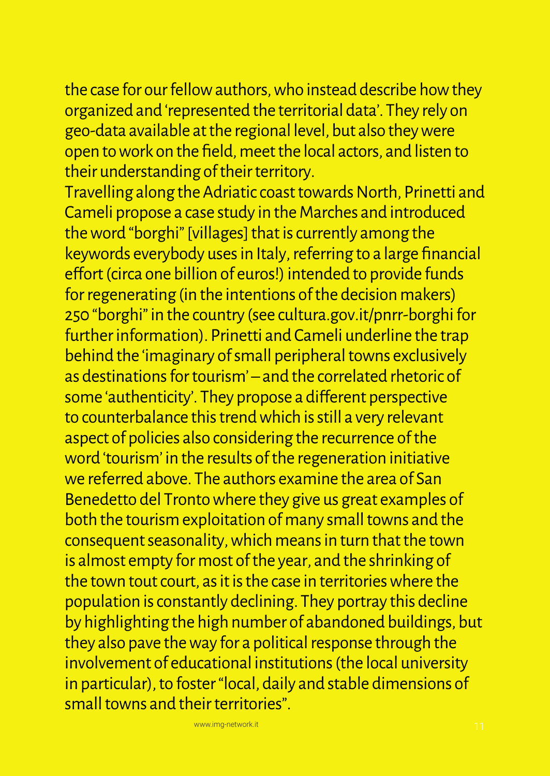the case for our fellow authors, who instead describe how they organized and 'represented the territorial data'. They rely on geo-data available at the regional level, but also they were open to work on the field, meet the local actors, and listen to their understanding of their territory.

Travelling along the Adriatic coast towards North, Prinetti and Cameli propose a case study in the Marches and introduced the word "borghi" [villages] that is currently among the keywords everybody uses in Italy, referring to a large financial effort (circa one billion of euros!) intended to provide funds for regenerating (in the intentions of the decision makers) 250 "borghi" in the country (see cultura.gov.it/pnrr-borghi for further information). Prinetti and Cameli underline the trap behind the 'imaginary of small peripheral towns exclusively as destinations for tourism' – and the correlated rhetoric of some 'authenticity'. They propose a different perspective to counterbalance this trend which is still a very relevant aspect of policies also considering the recurrence of the word 'tourism' in the results of the regeneration initiative we referred above. The authors examine the area of San Benedetto del Tronto where they give us great examples of both the tourism exploitation of many small towns and the consequent seasonality, which means in turn that the town is almost empty for most of the year, and the shrinking of the town tout court, as it is the case in territories where the population is constantly declining. They portray this decline by highlighting the high number of abandoned buildings, but they also pave the way for a political response through the involvement of educational institutions (the local university in particular), to foster "local, daily and stable dimensions of small towns and their territories".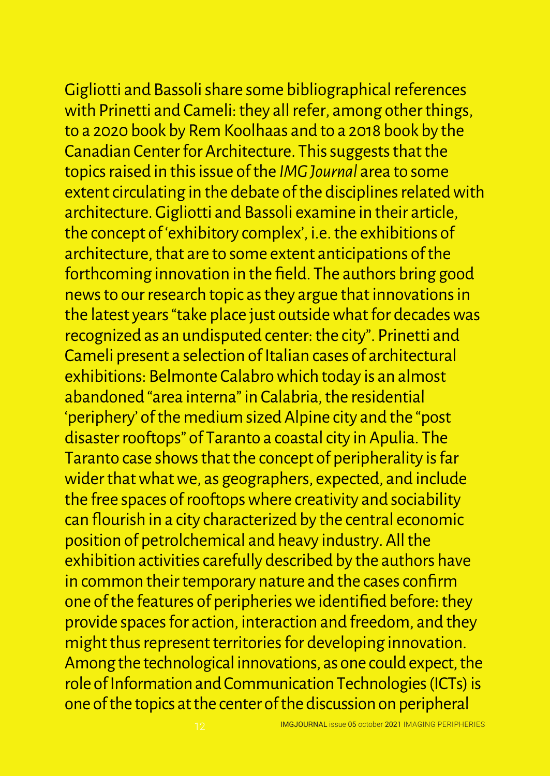Gigliotti and Bassoli share some bibliographical references with Prinetti and Cameli: they all refer, among other things, to a 2020 book by Rem Koolhaas and to a 2018 book by the Canadian Center for Architecture. This suggests that the topics raised in this issue of the *IMG Journal* area to some extent circulating in the debate of the disciplines related with architecture. Gigliotti and Bassoli examine in their article, the concept of 'exhibitory complex', i.e. the exhibitions of architecture, that are to some extent anticipations of the forthcoming innovation in the field. The authors bring good news to our research topic as they argue that innovations in the latest years "take place just outside what for decades was recognized as an undisputed center: the city". Prinetti and Cameli present a selection of Italian cases of architectural exhibitions: Belmonte Calabro which today is an almost abandoned "area interna" in Calabria, the residential 'periphery' of the medium sized Alpine city and the "post disaster rooftops" of Taranto a coastal city in Apulia. The Taranto case shows that the concept of peripherality is far wider that what we, as geographers, expected, and include the free spaces of rooftops where creativity and sociability can flourish in a city characterized by the central economic position of petrolchemical and heavy industry. All the exhibition activities carefully described by the authors have in common their temporary nature and the cases confirm one of the features of peripheries we identified before: they provide spaces for action, interaction and freedom, and they might thus represent territories for developing innovation. Among the technological innovations, as one could expect, the role of Information and Communication Technologies (ICTs) is one of the topics at the center of the discussion on peripheral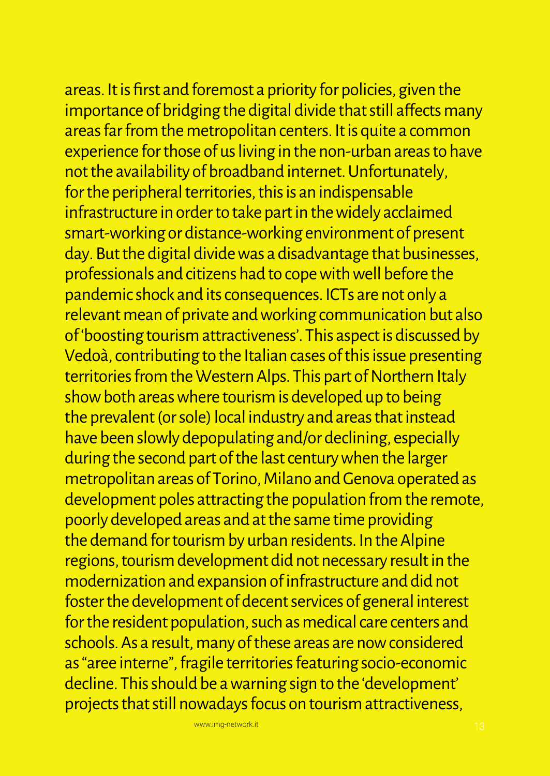areas. It is first and foremost a priority for policies, given the importance of bridging the digital divide that still affects many areas far from the metropolitan centers. It is quite a common experience for those of us living in the non-urban areas to have not the availability of broadband internet. Unfortunately, for the peripheral territories, this is an indispensable infrastructure in order to take part in the widely acclaimed smart-working or distance-working environment of present day. But the digital divide was a disadvantage that businesses, professionals and citizens had to cope with well before the pandemic shock and its consequences. ICTs are not only a relevant mean of private and working communication but also of 'boosting tourism attractiveness'. This aspect is discussed by Vedoà, contributing to the Italian cases of this issue presenting territories from the Western Alps. This part of Northern Italy show both areas where tourism is developed up to being the prevalent (or sole) local industry and areas that instead have been slowly depopulating and/or declining, especially during the second part of the last century when the larger metropolitan areas of Torino, Milano and Genova operated as development poles attracting the population from the remote, poorly developed areas and at the same time providing the demand for tourism by urban residents. In the Alpine regions, tourism development did not necessary result in the modernization and expansion of infrastructure and did not foster the development of decent services of general interest for the resident population, such as medical care centers and schools. As a result, many of these areas are now considered as "aree interne", fragile territories featuring socio-economic decline. This should be a warning sign to the 'development' projects that still nowadays focus on tourism attractiveness,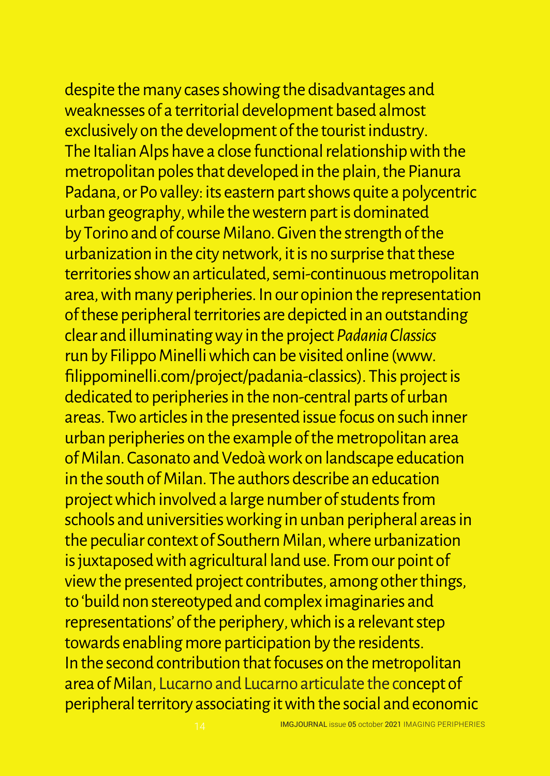despite the many cases showing the disadvantages and weaknesses of a territorial development based almost exclusively on the development of the tourist industry. The Italian Alps have a close functional relationship with the metropolitan poles that developed in the plain, the Pianura Padana, or Po valley: its eastern part shows quite a polycentric urban geography, while the western part is dominated by Torino and of course Milano. Given the strength of the urbanization in the city network, it is no surprise that these territories show an articulated, semi-continuous metropolitan area, with many peripheries. In our opinion the representation of these peripheral territories are depicted in an outstanding clear and illuminating way in the project *Padania Classics* run by Filippo Minelli which can be visited online (www. filippominelli.com/project/padania-classics). This project is dedicated to peripheries in the non-central parts of urban areas. Two articles in the presented issue focus on such inner urban peripheries on the example of the metropolitan area of Milan. Casonato and Vedoà work on landscape education in the south of Milan. The authors describe an education project which involved a large number of students from schools and universities working in unban peripheral areas in the peculiar context of Southern Milan, where urbanization is juxtaposed with agricultural land use. From our point of view the presented project contributes, among other things, to 'build non stereotyped and complex imaginaries and representations' of the periphery, which is a relevant step towards enabling more participation by the residents. In the second contribution that focuses on the metropolitan area of Milan, Lucarno and Lucarno articulate the concept of peripheral territory associating it with the social and economic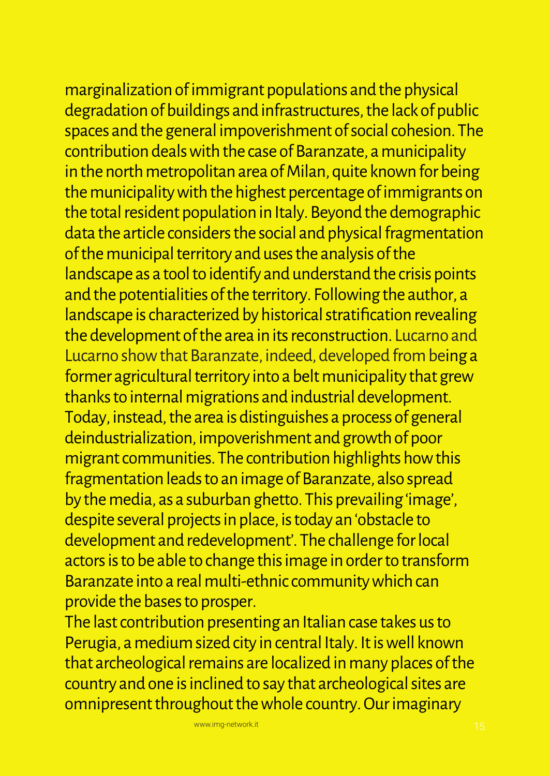marginalization of immigrant populations and the physical degradation of buildings and infrastructures, the lack of public spaces and the general impoverishment of social cohesion. The contribution deals with the case of Baranzate, a municipality in the north metropolitan area of Milan, quite known for being the municipality with the highest percentage of immigrants on the total resident population in Italy. Beyond the demographic data the article considers the social and physical fragmentation of the municipal territory and uses the analysis of the landscape as a tool to identify and understand the crisis points and the potentialities of the territory. Following the author, a landscape is characterized by historical stratification revealing the development of the area in its reconstruction. Lucarno and Lucarno show that Baranzate, indeed, developed from being a former agricultural territory into a belt municipality that grew thanks to internal migrations and industrial development. Today, instead, the area is distinguishes a process of general deindustrialization, impoverishment and growth of poor migrant communities. The contribution highlights how this fragmentation leads to an image of Baranzate, also spread by the media, as a suburban ghetto. This prevailing 'image', despite several projects in place, is today an 'obstacle to development and redevelopment'. The challenge for local actors is to be able to change this image in order to transform Baranzate into a real multi-ethnic community which can provide the bases to prosper.

The last contribution presenting an Italian case takes us to Perugia, a medium sized city in central Italy. It is well known that archeological remains are localized in many places of the country and one is inclined to say that archeological sites are omnipresent throughout the whole country. Our imaginary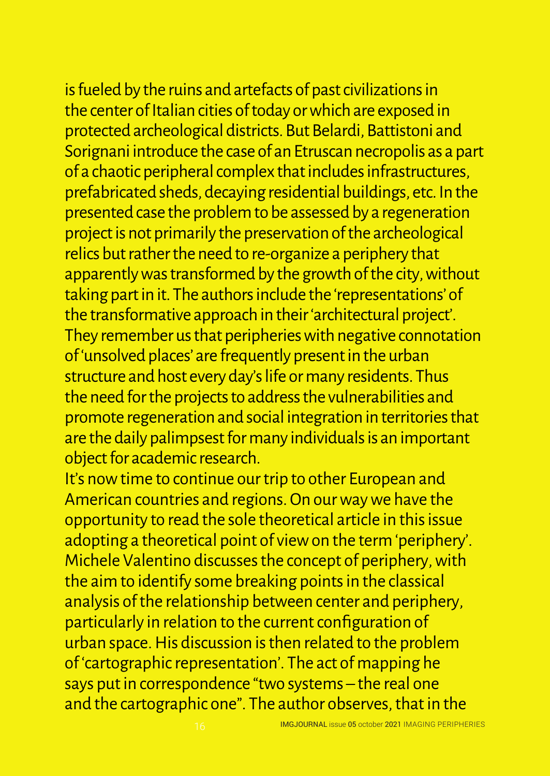is fueled by the ruins and artefacts of past civilizations in the center of Italian cities of today or which are exposed in protected archeological districts. But Belardi, Battistoni and Sorignani introduce the case of an Etruscan necropolis as a part of a chaotic peripheral complex that includes infrastructures, prefabricated sheds, decaying residential buildings, etc. In the presented case the problem to be assessed by a regeneration project is not primarily the preservation of the archeological relics but rather the need to re-organize a periphery that apparently was transformed by the growth of the city, without taking part in it. The authors include the 'representations' of the transformative approach in their 'architectural project'. They remember us that peripheries with negative connotation of 'unsolved places' are frequently present in the urban structure and host every day's life or many residents. Thus the need for the projects to address the vulnerabilities and promote regeneration and social integration in territories that are the daily palimpsest for many individuals is an important object for academic research.

It's now time to continue our trip to other European and American countries and regions. On our way we have the opportunity to read the sole theoretical article in this issue adopting a theoretical point of view on the term 'periphery'. Michele Valentino discusses the concept of periphery, with the aim to identify some breaking points in the classical analysis of the relationship between center and periphery, particularly in relation to the current configuration of urban space. His discussion is then related to the problem of 'cartographic representation'. The act of mapping he says put in correspondence "two systems – the real one and the cartographic one". The author observes, that in the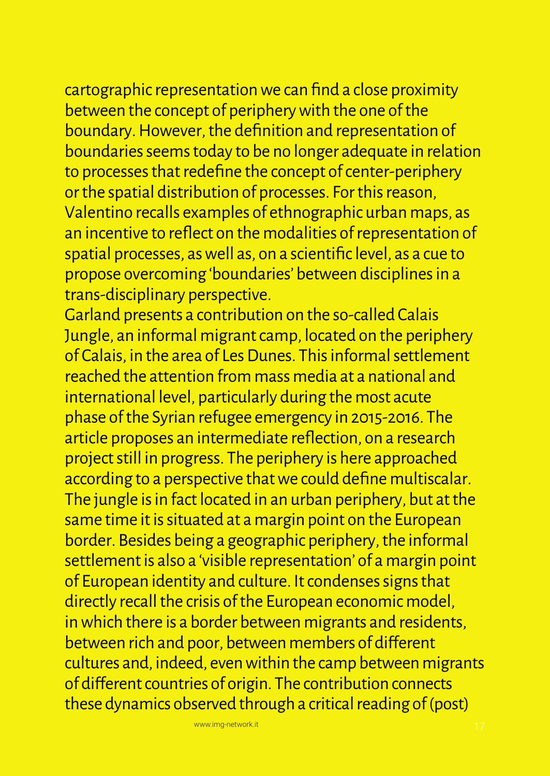cartographic representation we can find a close proximity between the concept of periphery with the one of the boundary. However, the definition and representation of boundaries seems today to be no longer adequate in relation to processes that redefine the concept of center-periphery or the spatial distribution of processes. For this reason, Valentino recalls examples of ethnographic urban maps, as an incentive to reflect on the modalities of representation of spatial processes, as well as, on a scientific level, as a cue to propose overcoming 'boundaries' between disciplines in a trans-disciplinary perspective.

Garland presents a contribution on the so-called Calais Jungle, an informal migrant camp, located on the periphery of Calais, in the area of Les Dunes. This informal settlement reached the attention from mass media at a national and international level, particularly during the most acute phase of the Syrian refugee emergency in 2015-2016. The article proposes an intermediate reflection, on a research project still in progress. The periphery is here approached according to a perspective that we could define multiscalar. The jungle is in fact located in an urban periphery, but at the same time it is situated at a margin point on the European border. Besides being a geographic periphery, the informal settlement is also a 'visible representation' of a margin point of European identity and culture. It condenses signs that directly recall the crisis of the European economic model, in which there is a border between migrants and residents, between rich and poor, between members of different cultures and, indeed, even within the camp between migrants of different countries of origin. The contribution connects these dynamics observed through a critical reading of (post)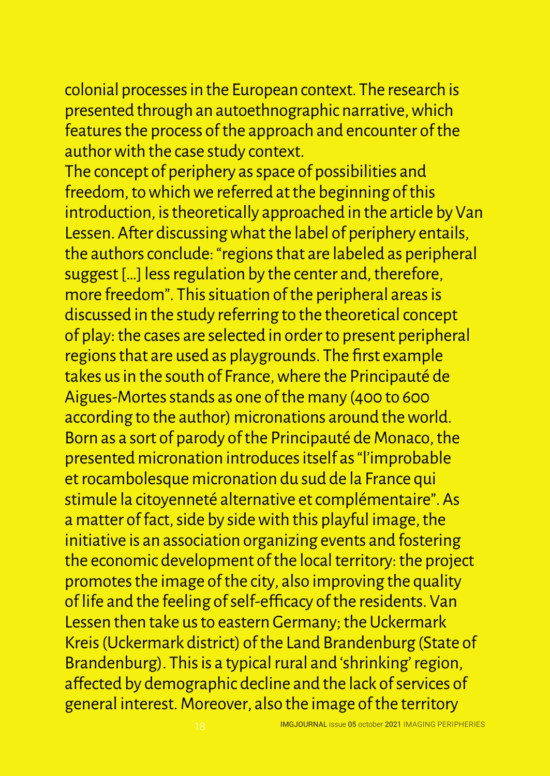colonial processes in the European context. The research is presented through an autoethnographic narrative, which features the process of the approach and encounter of the author with the case study context.

The concept of periphery as space of possibilities and freedom, to which we referred at the beginning of this introduction, is theoretically approached in the article by Van Lessen. After discussing what the label of periphery entails, the authors conclude: "regions that are labeled as peripheral suggest […] less regulation by the center and, therefore, more freedom". This situation of the peripheral areas is discussed in the study referring to the theoretical concept of play: the cases are selected in order to present peripheral regions that are used as playgrounds. The first example takes us in the south of France, where the Principauté de Aigues-Mortes stands as one of the many (400 to 600 according to the author) micronations around the world. Born as a sort of parody of the Principauté de Monaco, the presented micronation introduces itself as "l'improbable et rocambolesque micronation du sud de la France qui stimule la citoyenneté alternative et complémentaire". As a matter of fact, side by side with this playful image, the initiative is an association organizing events and fostering the economic development of the local territory: the project promotes the image of the city, also improving the quality of life and the feeling of self-efficacy of the residents. Van Lessen then take us to eastern Germany; the Uckermark Kreis (Uckermark district) of the Land Brandenburg (State of Brandenburg). This is a typical rural and 'shrinking' region, affected by demographic decline and the lack of services of general interest. Moreover, also the image of the territory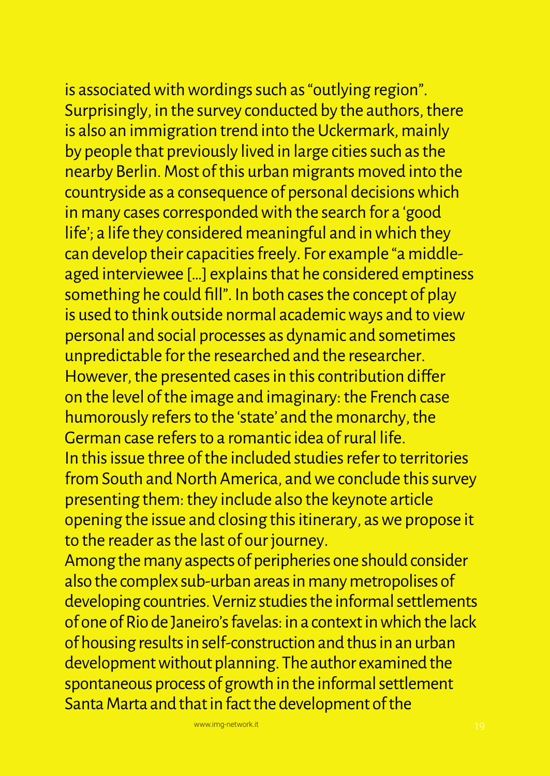is associated with wordings such as "outlying region". Surprisingly, in the survey conducted by the authors, there is also an immigration trend into the Uckermark, mainly by people that previously lived in large cities such as the nearby Berlin. Most of this urban migrants moved into the countryside as a consequence of personal decisions which in many cases corresponded with the search for a 'good life'; a life they considered meaningful and in which they can develop their capacities freely. For example "a middleaged interviewee […] explains that he considered emptiness something he could fill". In both cases the concept of play is used to think outside normal academic ways and to view personal and social processes as dynamic and sometimes unpredictable for the researched and the researcher. However, the presented cases in this contribution differ on the level of the image and imaginary: the French case humorously refers to the 'state' and the monarchy, the German case refers to a romantic idea of rural life. In this issue three of the included studies refer to territories from South and North America, and we conclude this survey presenting them: they include also the keynote article opening the issue and closing this itinerary, as we propose it to the reader as the last of our journey.

Among the many aspects of peripheries one should consider also the complex sub-urban areas in many metropolises of developing countries. Verniz studies the informal settlements of one of Rio de Janeiro's favelas: in a context in which the lack of housing results in self-construction and thus in an urban development without planning. The author examined the spontaneous process of growth in the informal settlement Santa Marta and that in fact the development of the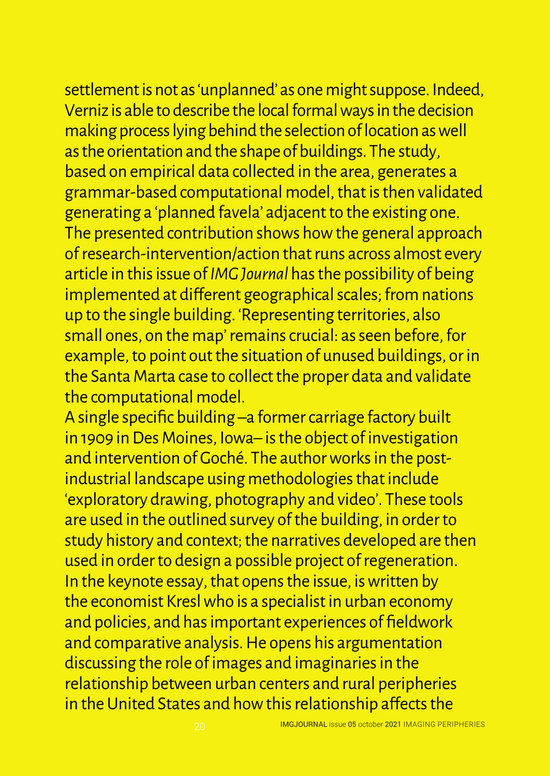settlement is not as 'unplanned' as one might suppose. Indeed, Verniz is able to describe the local formal ways in the decision making process lying behind the selection of location as well as the orientation and the shape of buildings. The study, based on empirical data collected in the area, generates a grammar-based computational model, that is then validated generating a 'planned favela' adjacent to the existing one. The presented contribution shows how the general approach of research-intervention/action that runs across almost every article in this issue of *IMG Journal* has the possibility of being implemented at different geographical scales; from nations up to the single building. 'Representing territories, also small ones, on the map' remains crucial: as seen before, for example, to point out the situation of unused buildings, or in the Santa Marta case to collect the proper data and validate the computational model.

A single specific building –a former carriage factory built in 1909 in Des Moines, Iowa– is the object of investigation and intervention of Goché. The author works in the postindustrial landscape using methodologies that include 'exploratory drawing, photography and video'. These tools are used in the outlined survey of the building, in order to study history and context; the narratives developed are then used in order to design a possible project of regeneration. In the keynote essay, that opens the issue, is written by the economist Kresl who is a specialist in urban economy and policies, and has important experiences of fieldwork and comparative analysis. He opens his argumentation discussing the role of images and imaginaries in the relationship between urban centers and rural peripheries in the United States and how this relationship affects the